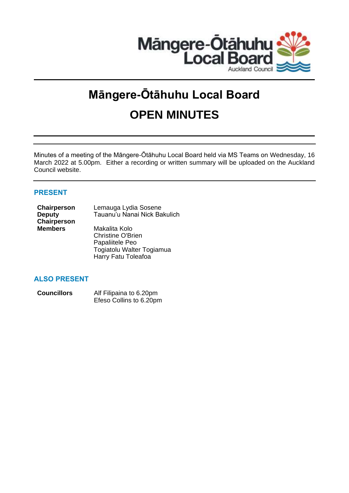

# **Māngere-Ōtāhuhu Local Board OPEN MINUTES**

Minutes of a meeting of the Māngere-Ōtāhuhu Local Board held via MS Teams on Wednesday, 16 March 2022 at 5.00pm. Either a recording or written summary will be uploaded on the Auckland Council website.

# **PRESENT**

| Chairperson        | Lemauga Lydia Sosene         |
|--------------------|------------------------------|
| <b>Deputy</b>      | Tauanu'u Nanai Nick Bakulich |
| <b>Chairperson</b> |                              |
| <b>Members</b>     | Makalita Kolo                |
|                    | <b>Christine O'Brien</b>     |

Papaliitele Peo Togiatolu Walter Togiamua Harry Fatu Toleafoa

# **ALSO PRESENT**

| <b>Councillors</b> | Alf Filipaina to 6.20pm |  |
|--------------------|-------------------------|--|
|                    | Efeso Collins to 6.20pm |  |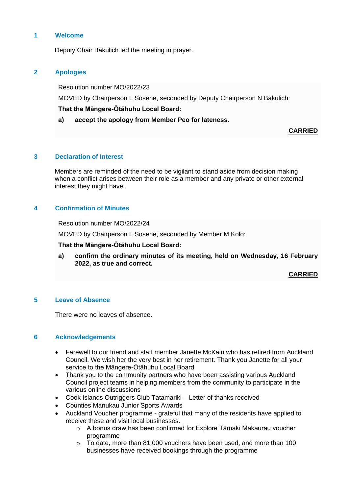## **1 Welcome**

Deputy Chair Bakulich led the meeting in prayer.

## **2 Apologies**

Resolution number MO/2022/23

MOVED by Chairperson L Sosene, seconded by Deputy Chairperson N Bakulich:

## **That the Māngere-Ōtāhuhu Local Board:**

**a) accept the apology from Member Peo for lateness.**

**CARRIED**

#### **3 Declaration of Interest**

Members are reminded of the need to be vigilant to stand aside from decision making when a conflict arises between their role as a member and any private or other external interest they might have.

## **4 Confirmation of Minutes**

Resolution number MO/2022/24

MOVED by Chairperson L Sosene, seconded by Member M Kolo:

#### **That the Māngere-Ōtāhuhu Local Board:**

**a) confirm the ordinary minutes of its meeting, held on Wednesday, 16 February 2022, as true and correct.**

**CARRIED**

## **5 Leave of Absence**

There were no leaves of absence.

#### **6 Acknowledgements**

- Farewell to our friend and staff member Janette McKain who has retired from Auckland Council. We wish her the very best in her retirement. Thank you Janette for all your service to the Māngere-Ōtāhuhu Local Board
- Thank you to the community partners who have been assisting various Auckland Council project teams in helping members from the community to participate in the various online discussions
- Cook Islands Outriggers Club Tatamariki Letter of thanks received
- Counties Manukau Junior Sports Awards
- Auckland Voucher programme grateful that many of the residents have applied to receive these and visit local businesses.
	- $\circ$  A bonus draw has been confirmed for Explore Tāmaki Makaurau voucher programme
	- o To date, more than 81,000 vouchers have been used, and more than 100 businesses have received bookings through the programme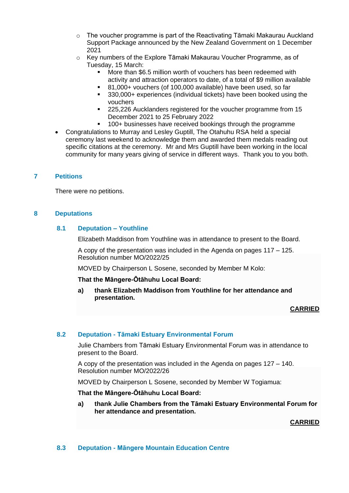- o The voucher programme is part of the Reactivating Tāmaki Makaurau Auckland Support Package announced by the New Zealand Government on 1 December 2021
- $\circ$  Key numbers of the Explore Tāmaki Makaurau Voucher Programme, as of Tuesday, 15 March:
	- More than \$6.5 million worth of vouchers has been redeemed with activity and attraction operators to date, of a total of \$9 million available
	- 81,000+ vouchers (of 100,000 available) have been used, so far
	- 330,000+ experiences (individual tickets) have been booked using the vouchers
	- 225,226 Aucklanders registered for the voucher programme from 15 December 2021 to 25 February 2022
	- 100+ businesses have received bookings through the programme
- Congratulations to Murray and Lesley Guptill, The Otahuhu RSA held a special ceremony last weekend to acknowledge them and awarded them medals reading out specific citations at the ceremony. Mr and Mrs Guptill have been working in the local community for many years giving of service in different ways. Thank you to you both.

## **7 Petitions**

There were no petitions.

## **8 Deputations**

## **8.1 Deputation – Youthline**

Elizabeth Maddison from Youthline was in attendance to present to the Board.

A copy of the presentation was included in the Agenda on pages 117 – 125. Resolution number MO/2022/25

MOVED by Chairperson L Sosene, seconded by Member M Kolo:

#### **That the Māngere-Ōtāhuhu Local Board:**

**a) thank Elizabeth Maddison from Youthline for her attendance and presentation.**

#### **CARRIED**

## **8.2 Deputation - Tāmaki Estuary Environmental Forum**

Julie Chambers from Tāmaki Estuary Environmental Forum was in attendance to present to the Board.

A copy of the presentation was included in the Agenda on pages 127 – 140. Resolution number MO/2022/26

MOVED by Chairperson L Sosene, seconded by Member W Togiamua:

#### **That the Māngere-Ōtāhuhu Local Board:**

**a) thank Julie Chambers from the Tāmaki Estuary Environmental Forum for her attendance and presentation.**

**CARRIED**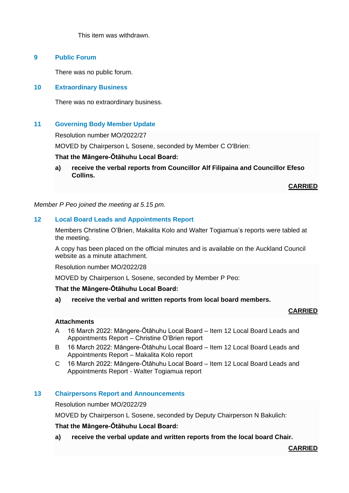This item was withdrawn.

## **9 Public Forum**

There was no public forum.

## **10 Extraordinary Business**

There was no extraordinary business.

## **11 Governing Body Member Update**

Resolution number MO/2022/27

MOVED by Chairperson L Sosene, seconded by Member C O'Brien:

## **That the Māngere-Ōtāhuhu Local Board:**

**a) receive the verbal reports from Councillor Alf Filipaina and Councillor Efeso Collins.**

**CARRIED**

*Member P Peo joined the meeting at 5.15 pm.*

## **12 Local Board Leads and Appointments Report**

Members Christine O'Brien, Makalita Kolo and Walter Togiamua's reports were tabled at the meeting.

A copy has been placed on the official minutes and is available on the Auckland Council website as a minute attachment.

Resolution number MO/2022/28

MOVED by Chairperson L Sosene, seconded by Member P Peo:

#### **That the Māngere-Ōtāhuhu Local Board:**

**a) receive the verbal and written reports from local board members.**

## **CARRIED**

#### **Attachments**

- A 16 March 2022: Māngere-Ōtāhuhu Local Board Item 12 Local Board Leads and Appointments Report – Christine O'Brien report
- B 16 March 2022: Māngere-Ōtāhuhu Local Board Item 12 Local Board Leads and Appointments Report – Makalita Kolo report
- C 16 March 2022: Māngere-Ōtāhuhu Local Board Item 12 Local Board Leads and Appointments Report - Walter Togiamua report

## **13 Chairpersons Report and Announcements**

Resolution number MO/2022/29

MOVED by Chairperson L Sosene, seconded by Deputy Chairperson N Bakulich:

## **That the Māngere-Ōtāhuhu Local Board:**

**a) receive the verbal update and written reports from the local board Chair.**

**CARRIED**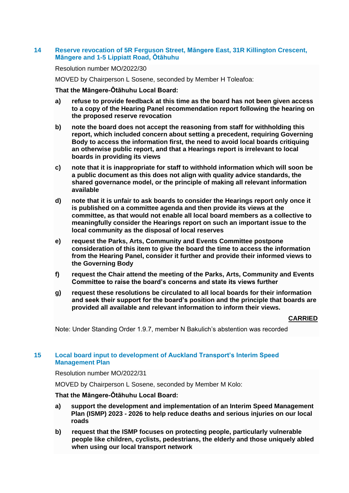## **14 Reserve revocation of 5R Ferguson Street, Māngere East, 31R Killington Crescent, Māngere and 1-5 Lippiatt Road, Ōtāhuhu**

#### Resolution number MO/2022/30

MOVED by Chairperson L Sosene, seconded by Member H Toleafoa:

#### **That the Māngere-Ōtāhuhu Local Board:**

- **a) refuse to provide feedback at this time as the board has not been given access to a copy of the Hearing Panel recommendation report following the hearing on the proposed reserve revocation**
- **b) note the board does not accept the reasoning from staff for withholding this report, which included concern about setting a precedent, requiring Governing Body to access the information first, the need to avoid local boards critiquing an otherwise public report, and that a Hearings report is irrelevant to local boards in providing its views**
- **c) note that it is inappropriate for staff to withhold information which will soon be a public document as this does not align with quality advice standards, the shared governance model, or the principle of making all relevant information available**
- **d) note that it is unfair to ask boards to consider the Hearings report only once it is published on a committee agenda and then provide its views at the committee, as that would not enable all local board members as a collective to meaningfully consider the Hearings report on such an important issue to the local community as the disposal of local reserves**
- **e) request the Parks, Arts, Community and Events Committee postpone consideration of this item to give the board the time to access the information from the Hearing Panel, consider it further and provide their informed views to the Governing Body**
- **f) request the Chair attend the meeting of the Parks, Arts, Community and Events Committee to raise the board's concerns and state its views further**
- **g) request these resolutions be circulated to all local boards for their information and seek their support for the board's position and the principle that boards are provided all available and relevant information to inform their views.**

#### **CARRIED**

Note: Under Standing Order 1.9.7, member N Bakulich's abstention was recorded

## **15 Local board input to development of Auckland Transport's Interim Speed Management Plan**

Resolution number MO/2022/31

MOVED by Chairperson L Sosene, seconded by Member M Kolo:

#### **That the Māngere-Ōtāhuhu Local Board:**

- **a) support the development and implementation of an Interim Speed Management Plan (ISMP) 2023 - 2026 to help reduce deaths and serious injuries on our local roads**
- **b) request that the ISMP focuses on protecting people, particularly vulnerable people like children, cyclists, pedestrians, the elderly and those uniquely abled when using our local transport network**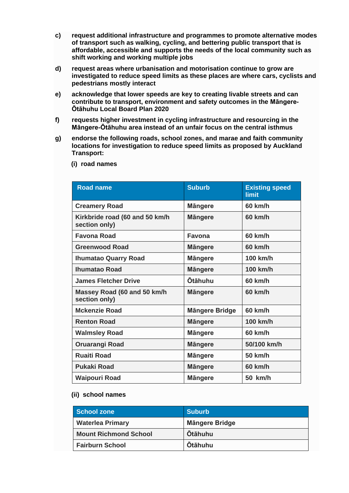- **c) request additional infrastructure and programmes to promote alternative modes of transport such as walking, cycling, and bettering public transport that is affordable, accessible and supports the needs of the local community such as shift working and working multiple jobs**
- **d) request areas where urbanisation and motorisation continue to grow are investigated to reduce speed limits as these places are where cars, cyclists and pedestrians mostly interact**
- **e) acknowledge that lower speeds are key to creating livable streets and can contribute to transport, environment and safety outcomes in the Māngere-Ōtāhuhu Local Board Plan 2020**
- **f) requests higher investment in cycling infrastructure and resourcing in the Māngere-Ōtāhuhu area instead of an unfair focus on the central isthmus**
- **g) endorse the following roads, school zones, and marae and faith community locations for investigation to reduce speed limits as proposed by Auckland Transport:**

| <b>Road name</b>                                | <b>Suburb</b>         | <b>Existing speed</b><br>limit |
|-------------------------------------------------|-----------------------|--------------------------------|
| <b>Creamery Road</b>                            | <b>Mängere</b>        | 60 km/h                        |
| Kirkbride road (60 and 50 km/h<br>section only) | <b>Mängere</b>        | 60 km/h                        |
| <b>Favona Road</b>                              | Favona                | 60 km/h                        |
| <b>Greenwood Road</b>                           | <b>Mängere</b>        | 60 km/h                        |
| <b>Ihumatao Quarry Road</b>                     | <b>Mängere</b>        | 100 km/h                       |
| <b>Ihumatao Road</b>                            | <b>Mängere</b>        | 100 km/h                       |
| <b>James Fletcher Drive</b>                     | <b>Otāhuhu</b>        | 60 km/h                        |
| Massey Road (60 and 50 km/h<br>section only)    | <b>Mängere</b>        | 60 km/h                        |
| <b>Mckenzie Road</b>                            | <b>Mängere Bridge</b> | 60 km/h                        |
| <b>Renton Road</b>                              | <b>Mängere</b>        | 100 km/h                       |
| <b>Walmsley Road</b>                            | <b>Mängere</b>        | 60 km/h                        |
| <b>Oruarangi Road</b>                           | <b>Mängere</b>        | 50/100 km/h                    |
| <b>Ruaiti Road</b>                              | <b>Mängere</b>        | 50 km/h                        |
| <b>Pukaki Road</b>                              | <b>Mängere</b>        | 60 km/h                        |
| <b>Waipouri Road</b>                            | <b>Mängere</b>        | 50 km/h                        |

 **(i) road names** 

## **(ii) school names**

| School zone                  | <b>Suburb</b>         |
|------------------------------|-----------------------|
| <b>Waterlea Primary</b>      | <b>Mängere Bridge</b> |
| <b>Mount Richmond School</b> | <b>Otāhuhu</b>        |
| <b>Fairburn School</b>       | <b>Otāhuhu</b>        |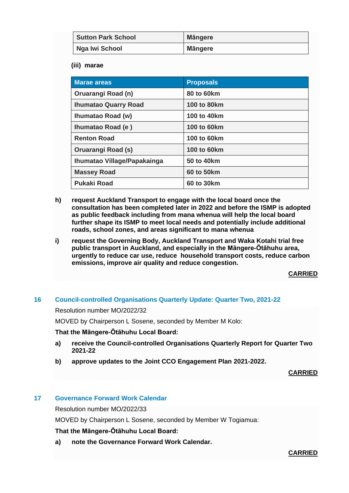| <b>Sutton Park School</b> | <b>Mängere</b> |
|---------------------------|----------------|
| Nga Iwi School            | Mängere        |

 **(iii) marae**

| <b>Marae areas</b>          | <b>Proposals</b>   |
|-----------------------------|--------------------|
| Oruarangi Road (n)          | <b>80 to 60km</b>  |
| <b>Ihumatao Quarry Road</b> | 100 to 80km        |
| Ihumatao Road (w)           | 100 to 40km        |
| Ihumatao Road (e)           | <b>100 to 60km</b> |
| <b>Renton Road</b>          | 100 to 60km        |
| Oruarangi Road (s)          | <b>100 to 60km</b> |
| Ihumatao Village/Papakainga | 50 to 40km         |
| <b>Massey Road</b>          | 60 to 50km         |
| <b>Pukaki Road</b>          | 60 to 30km         |

- **h) request Auckland Transport to engage with the local board once the consultation has been completed later in 2022 and before the ISMP is adopted as public feedback including from mana whenua will help the local board further shape its ISMP to meet local needs and potentially include additional roads, school zones, and areas significant to mana whenua**
- **i) request the Governing Body, Auckland Transport and Waka Kotahi trial free public transport in Auckland, and especially in the Māngere-Ōtāhuhu area, urgently to reduce car use, reduce household transport costs, reduce carbon emissions, improve air quality and reduce congestion.**

**CARRIED**

## **16 Council-controlled Organisations Quarterly Update: Quarter Two, 2021-22**

Resolution number MO/2022/32

MOVED by Chairperson L Sosene, seconded by Member M Kolo:

## **That the Māngere-Ōtāhuhu Local Board:**

- **a) receive the Council-controlled Organisations Quarterly Report for Quarter Two 2021-22**
- **b) approve updates to the Joint CCO Engagement Plan 2021-2022.**

**CARRIED**

## **17 Governance Forward Work Calendar**

Resolution number MO/2022/33

MOVED by Chairperson L Sosene, seconded by Member W Togiamua:

## **That the Māngere-Ōtāhuhu Local Board:**

**a) note the Governance Forward Work Calendar.**

**CARRIED**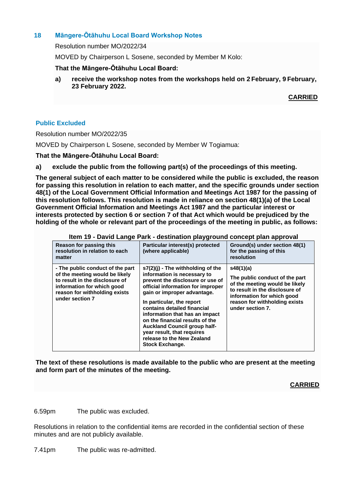# **18 Māngere-Ōtāhuhu Local Board Workshop Notes**

Resolution number MO/2022/34

MOVED by Chairperson L Sosene, seconded by Member M Kolo:

## **That the Māngere-Ōtāhuhu Local Board:**

**a) receive the workshop notes from the workshops held on 2 February, 9 February, 23 February 2022.**

**CARRIED**

#### **Public Excluded**

Resolution number MO/2022/35

MOVED by Chairperson L Sosene, seconded by Member W Togiamua:

#### **That the Māngere-Ōtāhuhu Local Board:**

**a) exclude the public from the following part(s) of the proceedings of this meeting.**

**The general subject of each matter to be considered while the public is excluded, the reason for passing this resolution in relation to each matter, and the specific grounds under section 48(1) of the Local Government Official Information and Meetings Act 1987 for the passing of this resolution follows. This resolution is made in reliance on section 48(1)(a) of the Local Government Official Information and Meetings Act 1987 and the particular interest or interests protected by section 6 or section 7 of that Act which would be prejudiced by the holding of the whole or relevant part of the proceedings of the meeting in public, as follows:**

| litem 19 - David Lange Park - destination playground concept plan approval                                                                                                             |                                                                                                                                                                                                                                                                                                                                                                                                                                          |                                                                                                                                                                                                    |  |
|----------------------------------------------------------------------------------------------------------------------------------------------------------------------------------------|------------------------------------------------------------------------------------------------------------------------------------------------------------------------------------------------------------------------------------------------------------------------------------------------------------------------------------------------------------------------------------------------------------------------------------------|----------------------------------------------------------------------------------------------------------------------------------------------------------------------------------------------------|--|
| Reason for passing this<br>resolution in relation to each<br>matter                                                                                                                    | Particular interest(s) protected<br>(where applicable)                                                                                                                                                                                                                                                                                                                                                                                   | Ground(s) under section 48(1)<br>for the passing of this<br>resolution                                                                                                                             |  |
| - The public conduct of the part<br>of the meeting would be likely<br>to result in the disclosure of<br>information for which good<br>reason for withholding exists<br>under section 7 | $s7(2)(i)$ - The withholding of the<br>information is necessary to<br>prevent the disclosure or use of<br>official information for improper<br>gain or improper advantage.<br>In particular, the report<br>contains detailed financial<br>information that has an impact<br>on the financial results of the<br><b>Auckland Council group half-</b><br>year result, that requires<br>release to the New Zealand<br><b>Stock Exchange.</b> | s48(1)(a)<br>The public conduct of the part<br>of the meeting would be likely<br>to result in the disclosure of<br>information for which good<br>reason for withholding exists<br>under section 7. |  |

**Item 19 - David Lange Park - destination playground concept plan approval**

**The text of these resolutions is made available to the public who are present at the meeting and form part of the minutes of the meeting.**

## **CARRIED**

6.59pm The public was excluded.

Resolutions in relation to the confidential items are recorded in the confidential section of these minutes and are not publicly available.

7.41pm The public was re-admitted.